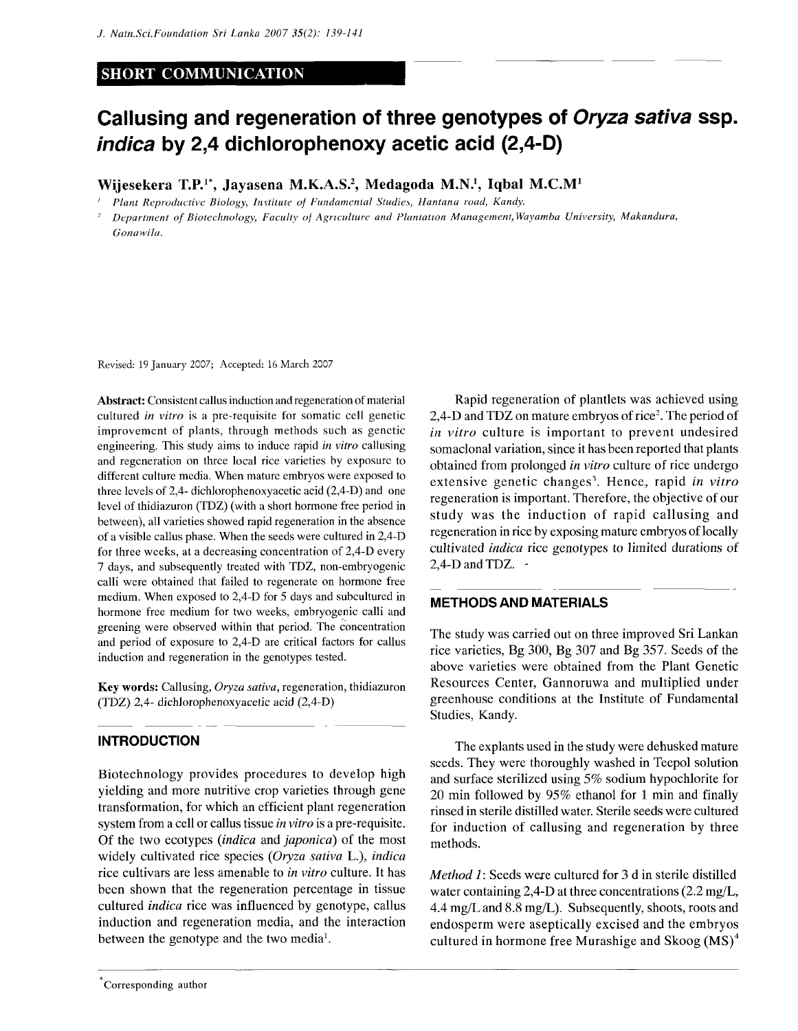## **SHORT COMMUNICATION**

# **Callusing and regeneration of three genotypes of Oryza sativa ssp. indica by 2,4 dichlorophenoxy acetic acid (2,4-D)**

**Wijesekera T.P.<sup>1</sup> \*, Jayasena M.K.A.S.<sup>2</sup> , Medagoda M.N.<sup>1</sup> , Iqbal M.C.M<sup>1</sup>**

' *Plant Reproductive Biology, Institute of Fundamental Studies, Hantana road, Kandy.* 

*2 Department of Biotechnology, Faculty of Agriculture and Plantation Management,Wayamba University, Makandura, Gonawila.* 

Revised: 19 January 2007; Accepted: 16 March 2007

Abstract: Consistent callus induction and regeneration of material cultured *in vitro* is a pre-requisite for somatic cell genetic improvement of plants, through methods such as genetic engineering. This study aims to induce rapid *in vitro* callusing and regeneration on three local rice varieties by exposure to different culture media. When mature embryos were exposed to three levels of 2,4- dichlorophenoxyacetic acid (2,4-D) and one level of thidiazuron (TDZ) (with a short hormone free period in between), all varieties showed rapid regeneration in the absence of a visible callus phase. When the seeds were cultured in 2,4-D for three weeks, at a decreasing concentration of 2,4-D every 7 days, and subsequently treated with TDZ, non-embryogenic calli were obtained that failed to regenerate on hormone free medium. When exposed to 2,4-D for 5 days and subculturcd in hormone free medium for two weeks, embryogenic calli and greening were observed within that period. The concentration and period of exposure to 2,4-D are critical factors for callus induction and regeneration in the genotypes tested.

Key words: Callusing, *Oryza sativa,* regeneration, thidiazuron (TDZ) 2,4- dichlorophenoxyacetic acid (2,4-D)

#### **INTRODUCTION**

Biotechnology provides procedures to develop high yielding and more nutritive crop varieties through gene transformation, for which an efficient plant regeneration system from a cell or callus tissue *in vitro* is a pre-requisite. Of the two ecotypes *{indica* and *japonica)* of the most widely cultivated rice species *(Oryza sativa* L.), *indica*  rice cultivars are less amenable to *in vitro* culture. It has been shown that the regeneration percentage in tissue cultured *indica* rice was influenced by genotype, callus induction and regeneration media, and the interaction between the genotype and the two media<sup>1</sup>.

Rapid regeneration of plantlets was achieved using 2,4-D and TDZ on mature embryos of rice<sup>2</sup>. The period of *in vitro* culture is important to prevent undesired somaclonal variation, since it has been reported that plants obtained from prolonged *in vitro* culture of rice undergo extensive genetic changes<sup>3</sup>. Hence, rapid in vitro regeneration is important. Therefore, the objective of our study was the induction of rapid callusing and regeneration in rice by exposing mature embryos of locally cultivated *indica* rice genotypes to limited durations of 2,4-D and TDZ.  $\cdot$ 

#### **METHODS AND MATERIALS**

The study was carried out on three improved Sri Lankan rice varieties, Bg 300, Bg 307 and Bg 357. Seeds of the above varieties were obtained from the Plant Genetic Resources Center, Gannoruwa and multiplied under greenhouse conditions at the Institute of Fundamental Studies, Kandy.

The explants used in the study were dehusked mature seeds. They were thoroughly washed in Teepol solution and surface sterilized using 5% sodium hypochlorite for 20 min followed by 95% ethanol for 1 min and finally rinsed in sterile distilled water. Sterile seeds were cultured for induction of callusing and regeneration by three methods.

*Method 1*: Seeds were cultured for 3 d in sterile distilled water containing 2,4-D at three concentrations (2.2 mg/L, 4.4 mg/Land 8.8 mg/L). Subsequently, shoots, roots and endosperm were aseptically excised and the embryos cultured in hormone free Murashige and Skoog  $(MS)^4$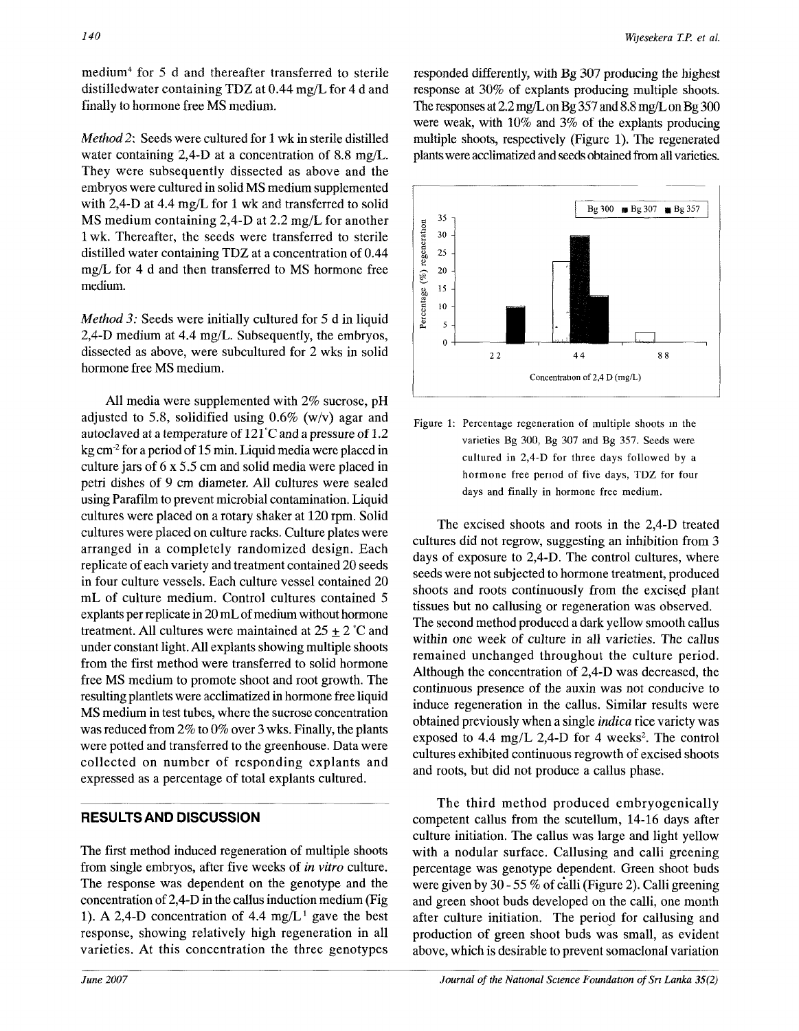medium<sup>4</sup> for 5 d and thereafter transferred to sterile distilledwater containing TDZ at 0.44 mg/L for 4 d and finally to hormone free MS medium.

*Method 2:* Seeds were cultured for 1 wk in sterile distilled water containing 2,4-D at a concentration of 8.8 mg/L. They were subsequently dissected as above and the embryos were cultured in solid MS medium supplemented with 2,4-D at 4.4 mg/L for 1 wk and transferred to solid MS medium containing 2,4-D at 2.2 mg/L for another 1 wk. Thereafter, the seeds were transferred to sterile distilled water containing TDZ at a concentration of 0.44 mg/L for 4 d and then transferred to MS hormone free medium.

*Method 3:* Seeds were initially cultured for 5 d in liquid 2,4-D medium at 4.4 mg/L. Subsequently, the embryos, dissected as above, were subcultured for 2 wks in solid hormone free MS medium.

All media were supplemented with 2% sucrose, pH adjusted to 5.8, solidified using  $0.6\%$  (w/v) agar and autoclaved at a temperature of 121°C and a pressure of 1.2 kg cm<sup>-2</sup> for a period of 15 min. Liquid media were placed in culture jars of 6 x 5.5 cm and solid media were placed in petri dishes of 9 cm diameter. All cultures were sealed using Parafilm to prevent microbial contamination. Liquid cultures were placed on a rotary shaker at 120 rpm. Solid cultures were placed on culture racks. Culture plates were arranged in a completely randomized design. Each replicate of each variety and treatment contained 20 seeds in four culture vessels. Each culture vessel contained 20 mL of culture medium. Control cultures contained 5 explants per replicate in 20 mL of medium without hormone treatment. All cultures were maintained at  $25 \pm 2^{\circ}$ C and under constant light. All explants showing multiple shoots from the first method were transferred to solid hormone free MS medium to promote shoot and root growth. The resulting plantlets were acclimatized in hormone free liquid MS medium in test tubes, where the sucrose concentration was reduced from 2% to 0% over 3 wks. Finally, the plants were potted and transferred to the greenhouse. Data were collected on number of responding explants and expressed as a percentage of total explants cultured.

## RESULTS AND DISCUSSION

The first method induced regeneration of multiple shoots from single embryos, after five weeks of *in vitro* culture. The response was dependent on the genotype and the concentration of 2,4-D in the callus induction medium (Fig 1). A 2,4-D concentration of 4.4  $mg/L^1$  gave the best response, showing relatively high regeneration in all varieties. At this concentration the three genotypes

responded differently, with Bg 307 producing the highest response at 30% of explants producing multiple shoots. The responses at 2.2 mg/L on Bg 357 and 8.8 mg/L on Bg 300 were weak, with 10% and 3% of the explants producing multiple shoots, respectively (Figure 1). The regenerated plants were acclimatized and seeds obtained from all varieties.





The excised shoots and roots in the 2,4-D treated cultures did not regrow, suggesting an inhibition from 3 days of exposure to 2,4-D. The control cultures, where seeds were not subjected to hormone treatment, produced shoots and roots continuously from the excised plant tissues but no callusing or regeneration was observed. The second method produced a dark yellow smooth callus within one week of culture in all varieties. The callus remained unchanged throughout the culture period. Although the concentration of 2,4-D was decreased, the continuous presence of the auxin was not conducive to induce regeneration in the callus. Similar results were obtained previously when a single *indica* rice variety was exposed to 4.4 mg/L 2,4-D for 4 weeks<sup>2</sup>. The control cultures exhibited continuous regrowth of excised shoots and roots, but did not produce a callus phase.

The third method produced embryogenically competent callus from the scutellum, 14-16 days after culture initiation. The callus was large and light yellow with a nodular surface. Callusing and calli greening percentage was genotype dependent. Green shoot buds were given by 30 - 55 % of calli (Figure 2). Calli greening and green shoot buds developed on the calli, one month after culture initiation. The period for callusing and production of green shoot buds was small, as evident above, which is desirable to prevent somaclonal variation